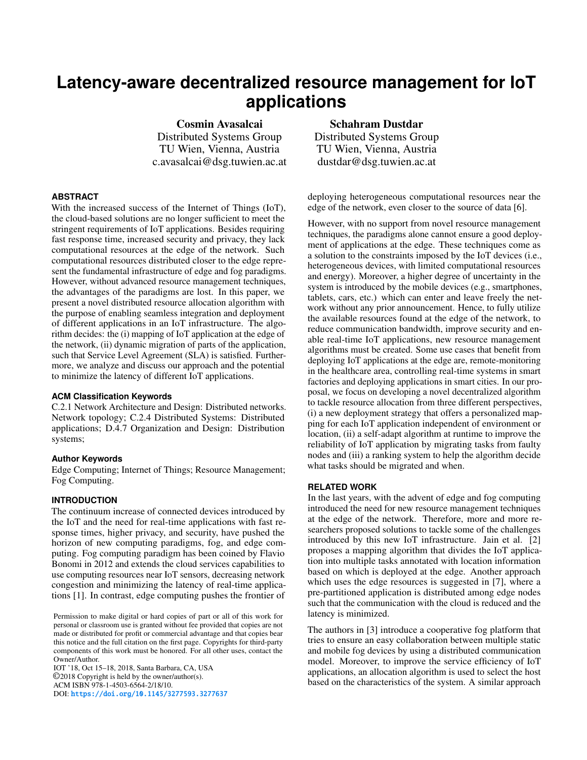# **Latency-aware decentralized resource management for IoT applications**

Cosmin Avasalcai Distributed Systems Group TU Wien, Vienna, Austria c.avasalcai@dsg.tuwien.ac.at

# **ABSTRACT**

With the increased success of the Internet of Things (IoT), the cloud-based solutions are no longer sufficient to meet the stringent requirements of IoT applications. Besides requiring fast response time, increased security and privacy, they lack computational resources at the edge of the network. Such computational resources distributed closer to the edge represent the fundamental infrastructure of edge and fog paradigms. However, without advanced resource management techniques, the advantages of the paradigms are lost. In this paper, we present a novel distributed resource allocation algorithm with the purpose of enabling seamless integration and deployment of different applications in an IoT infrastructure. The algorithm decides: the (i) mapping of IoT application at the edge of the network, (ii) dynamic migration of parts of the application, such that Service Level Agreement (SLA) is satisfied. Furthermore, we analyze and discuss our approach and the potential to minimize the latency of different IoT applications.

#### **ACM Classification Keywords**

C.2.1 Network Architecture and Design: Distributed networks. Network topology; C.2.4 Distributed Systems: Distributed applications; D.4.7 Organization and Design: Distribution systems;

#### **Author Keywords**

Edge Computing; Internet of Things; Resource Management; Fog Computing.

## **INTRODUCTION**

The continuum increase of connected devices introduced by the IoT and the need for real-time applications with fast response times, higher privacy, and security, have pushed the horizon of new computing paradigms, fog, and edge computing. Fog computing paradigm has been coined by Flavio Bonomi in 2012 and extends the cloud services capabilities to use computing resources near IoT sensors, decreasing network congestion and minimizing the latency of real-time applications [\[1\]](#page-3-0). In contrast, edge computing pushes the frontier of

IOT '18, Oct 15–18, 2018, Santa Barbara, CA, USA ©2018 Copyright is held by the owner/author(s). ACM ISBN 978-1-4503-6564-2/18/10. DOI: <https://doi.org/10.1145/3277593.3277637>

Schahram Dustdar Distributed Systems Group TU Wien, Vienna, Austria dustdar@dsg.tuwien.ac.at

deploying heterogeneous computational resources near the edge of the network, even closer to the source of data [\[6\]](#page-3-1).

However, with no support from novel resource management techniques, the paradigms alone cannot ensure a good deployment of applications at the edge. These techniques come as a solution to the constraints imposed by the IoT devices (i.e., heterogeneous devices, with limited computational resources and energy). Moreover, a higher degree of uncertainty in the system is introduced by the mobile devices (e.g., smartphones, tablets, cars, etc.) which can enter and leave freely the network without any prior announcement. Hence, to fully utilize the available resources found at the edge of the network, to reduce communication bandwidth, improve security and enable real-time IoT applications, new resource management algorithms must be created. Some use cases that benefit from deploying IoT applications at the edge are, remote-monitoring in the healthcare area, controlling real-time systems in smart factories and deploying applications in smart cities. In our proposal, we focus on developing a novel decentralized algorithm to tackle resource allocation from three different perspectives, (i) a new deployment strategy that offers a personalized mapping for each IoT application independent of environment or location, (ii) a self-adapt algorithm at runtime to improve the reliability of IoT application by migrating tasks from faulty nodes and (iii) a ranking system to help the algorithm decide what tasks should be migrated and when.

#### **RELATED WORK**

In the last years, with the advent of edge and fog computing introduced the need for new resource management techniques at the edge of the network. Therefore, more and more researchers proposed solutions to tackle some of the challenges introduced by this new IoT infrastructure. Jain et al. [\[2\]](#page-3-2) proposes a mapping algorithm that divides the IoT application into multiple tasks annotated with location information based on which is deployed at the edge. Another approach which uses the edge resources is suggested in [\[7\]](#page-3-3), where a pre-partitioned application is distributed among edge nodes such that the communication with the cloud is reduced and the latency is minimized.

The authors in [\[3\]](#page-3-4) introduce a cooperative fog platform that tries to ensure an easy collaboration between multiple static and mobile fog devices by using a distributed communication model. Moreover, to improve the service efficiency of IoT applications, an allocation algorithm is used to select the host based on the characteristics of the system. A similar approach

Permission to make digital or hard copies of part or all of this work for personal or classroom use is granted without fee provided that copies are not made or distributed for profit or commercial advantage and that copies bear this notice and the full citation on the first page. Copyrights for third-party components of this work must be honored. For all other uses, contact the Owner/Author.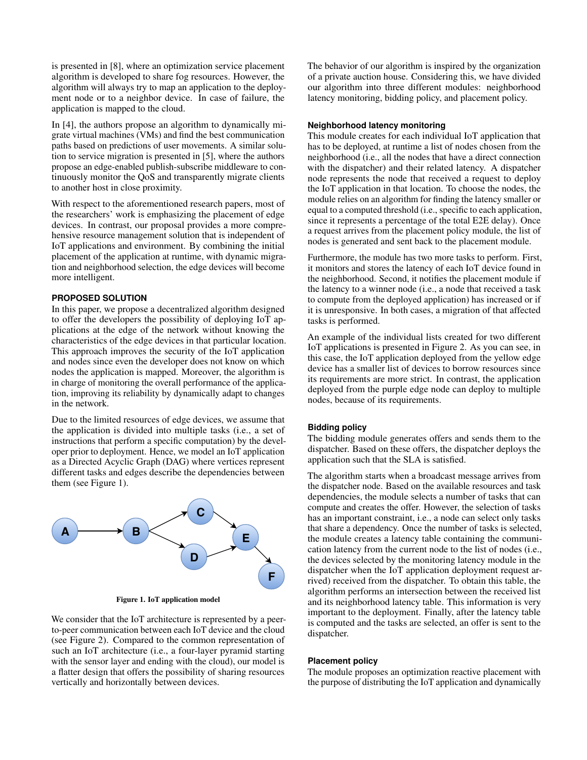is presented in [\[8\]](#page-3-5), where an optimization service placement algorithm is developed to share fog resources. However, the algorithm will always try to map an application to the deployment node or to a neighbor device. In case of failure, the application is mapped to the cloud.

In [\[4\]](#page-3-6), the authors propose an algorithm to dynamically migrate virtual machines (VMs) and find the best communication paths based on predictions of user movements. A similar solution to service migration is presented in [\[5\]](#page-3-7), where the authors propose an edge-enabled publish-subscribe middleware to continuously monitor the QoS and transparently migrate clients to another host in close proximity.

With respect to the aforementioned research papers, most of the researchers' work is emphasizing the placement of edge devices. In contrast, our proposal provides a more comprehensive resource management solution that is independent of IoT applications and environment. By combining the initial placement of the application at runtime, with dynamic migration and neighborhood selection, the edge devices will become more intelligent.

## <span id="page-1-1"></span>**PROPOSED SOLUTION**

In this paper, we propose a decentralized algorithm designed to offer the developers the possibility of deploying IoT applications at the edge of the network without knowing the characteristics of the edge devices in that particular location. This approach improves the security of the IoT application and nodes since even the developer does not know on which nodes the application is mapped. Moreover, the algorithm is in charge of monitoring the overall performance of the application, improving its reliability by dynamically adapt to changes in the network.

Due to the limited resources of edge devices, we assume that the application is divided into multiple tasks (i.e., a set of instructions that perform a specific computation) by the developer prior to deployment. Hence, we model an IoT application as a Directed Acyclic Graph (DAG) where vertices represent different tasks and edges describe the dependencies between them (see [Figure 1\)](#page-1-0).



<span id="page-1-0"></span>Figure 1. IoT application model

We consider that the IoT architecture is represented by a peerto-peer communication between each IoT device and the cloud (see [Figure 2\)](#page-2-0). Compared to the common representation of such an IoT architecture (i.e., a four-layer pyramid starting with the sensor layer and ending with the cloud), our model is a flatter design that offers the possibility of sharing resources vertically and horizontally between devices.

The behavior of our algorithm is inspired by the organization of a private auction house. Considering this, we have divided our algorithm into three different modules: neighborhood latency monitoring, bidding policy, and placement policy.

# **Neighborhood latency monitoring**

This module creates for each individual IoT application that has to be deployed, at runtime a list of nodes chosen from the neighborhood (i.e., all the nodes that have a direct connection with the dispatcher) and their related latency. A dispatcher node represents the node that received a request to deploy the IoT application in that location. To choose the nodes, the module relies on an algorithm for finding the latency smaller or equal to a computed threshold (i.e., specific to each application, since it represents a percentage of the total E2E delay). Once a request arrives from the placement policy module, the list of nodes is generated and sent back to the placement module.

Furthermore, the module has two more tasks to perform. First, it monitors and stores the latency of each IoT device found in the neighborhood. Second, it notifies the placement module if the latency to a winner node (i.e., a node that received a task to compute from the deployed application) has increased or if it is unresponsive. In both cases, a migration of that affected tasks is performed.

An example of the individual lists created for two different IoT applications is presented in [Figure 2.](#page-2-0) As you can see, in this case, the IoT application deployed from the yellow edge device has a smaller list of devices to borrow resources since its requirements are more strict. In contrast, the application deployed from the purple edge node can deploy to multiple nodes, because of its requirements.

#### **Bidding policy**

The bidding module generates offers and sends them to the dispatcher. Based on these offers, the dispatcher deploys the application such that the SLA is satisfied.

The algorithm starts when a broadcast message arrives from the dispatcher node. Based on the available resources and task dependencies, the module selects a number of tasks that can compute and creates the offer. However, the selection of tasks has an important constraint, i.e., a node can select only tasks that share a dependency. Once the number of tasks is selected, the module creates a latency table containing the communication latency from the current node to the list of nodes (i.e., the devices selected by the monitoring latency module in the dispatcher when the IoT application deployment request arrived) received from the dispatcher. To obtain this table, the algorithm performs an intersection between the received list and its neighborhood latency table. This information is very important to the deployment. Finally, after the latency table is computed and the tasks are selected, an offer is sent to the dispatcher.

#### **Placement policy**

The module proposes an optimization reactive placement with the purpose of distributing the IoT application and dynamically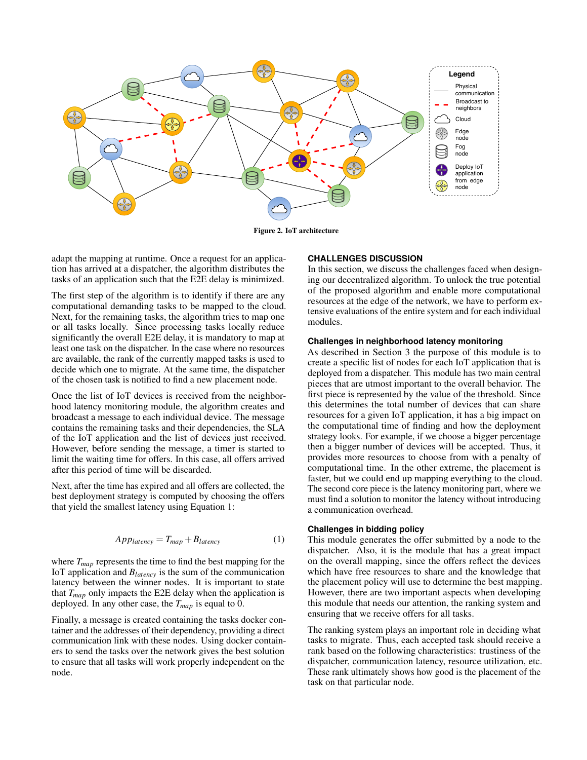

<span id="page-2-0"></span>Figure 2. IoT architecture

adapt the mapping at runtime. Once a request for an application has arrived at a dispatcher, the algorithm distributes the tasks of an application such that the E2E delay is minimized.

The first step of the algorithm is to identify if there are any computational demanding tasks to be mapped to the cloud. Next, for the remaining tasks, the algorithm tries to map one or all tasks locally. Since processing tasks locally reduce significantly the overall E2E delay, it is mandatory to map at least one task on the dispatcher. In the case where no resources are available, the rank of the currently mapped tasks is used to decide which one to migrate. At the same time, the dispatcher of the chosen task is notified to find a new placement node.

Once the list of IoT devices is received from the neighborhood latency monitoring module, the algorithm creates and broadcast a message to each individual device. The message contains the remaining tasks and their dependencies, the SLA of the IoT application and the list of devices just received. However, before sending the message, a timer is started to limit the waiting time for offers. In this case, all offers arrived after this period of time will be discarded.

Next, after the time has expired and all offers are collected, the best deployment strategy is computed by choosing the offers that yield the smallest latency using Equation [1:](#page-2-1)

<span id="page-2-1"></span>
$$
Applatency = Tmap + Blatency
$$
 (1)

where  $T_{man}$  represents the time to find the best mapping for the IoT application and *Blatency* is the sum of the communication latency between the winner nodes. It is important to state that *Tmap* only impacts the E2E delay when the application is deployed. In any other case, the *Tmap* is equal to 0.

Finally, a message is created containing the tasks docker container and the addresses of their dependency, providing a direct communication link with these nodes. Using docker containers to send the tasks over the network gives the best solution to ensure that all tasks will work properly independent on the node.

## **CHALLENGES DISCUSSION**

In this section, we discuss the challenges faced when designing our decentralized algorithm. To unlock the true potential of the proposed algorithm and enable more computational resources at the edge of the network, we have to perform extensive evaluations of the entire system and for each individual modules.

#### **Challenges in neighborhood latency monitoring**

As described in Section [3](#page-1-1) the purpose of this module is to create a specific list of nodes for each IoT application that is deployed from a dispatcher. This module has two main central pieces that are utmost important to the overall behavior. The first piece is represented by the value of the threshold. Since this determines the total number of devices that can share resources for a given IoT application, it has a big impact on the computational time of finding and how the deployment strategy looks. For example, if we choose a bigger percentage then a bigger number of devices will be accepted. Thus, it provides more resources to choose from with a penalty of computational time. In the other extreme, the placement is faster, but we could end up mapping everything to the cloud. The second core piece is the latency monitoring part, where we must find a solution to monitor the latency without introducing a communication overhead.

#### **Challenges in bidding policy**

This module generates the offer submitted by a node to the dispatcher. Also, it is the module that has a great impact on the overall mapping, since the offers reflect the devices which have free resources to share and the knowledge that the placement policy will use to determine the best mapping. However, there are two important aspects when developing this module that needs our attention, the ranking system and ensuring that we receive offers for all tasks.

The ranking system plays an important role in deciding what tasks to migrate. Thus, each accepted task should receive a rank based on the following characteristics: trustiness of the dispatcher, communication latency, resource utilization, etc. These rank ultimately shows how good is the placement of the task on that particular node.